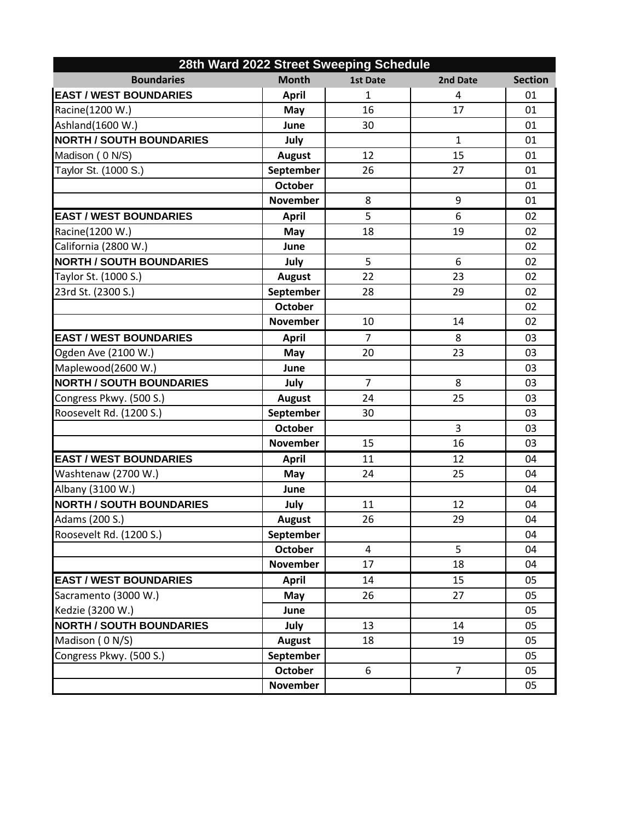| 28th Ward 2022 Street Sweeping Schedule |                 |                 |                |                |  |  |  |
|-----------------------------------------|-----------------|-----------------|----------------|----------------|--|--|--|
| <b>Boundaries</b>                       | <b>Month</b>    | <b>1st Date</b> | 2nd Date       | <b>Section</b> |  |  |  |
| <b>EAST / WEST BOUNDARIES</b>           | <b>April</b>    | $\mathbf{1}$    | 4              | 01             |  |  |  |
| Racine(1200 W.)                         | May             | 16              | 17             | 01             |  |  |  |
| Ashland(1600 W.)                        | June            | 30              |                | 01             |  |  |  |
| <b>NORTH / SOUTH BOUNDARIES</b>         | July            |                 | $\mathbf{1}$   | 01             |  |  |  |
| Madison (0 N/S)                         | <b>August</b>   | 12              | 15             | 01             |  |  |  |
| Taylor St. (1000 S.)                    | September       | 26              | 27             | 01             |  |  |  |
|                                         | <b>October</b>  |                 |                | 01             |  |  |  |
|                                         | <b>November</b> | 8               | 9              | 01             |  |  |  |
| <b>EAST / WEST BOUNDARIES</b>           | <b>April</b>    | 5               | 6              | 02             |  |  |  |
| Racine(1200 W.)                         | May             | 18              | 19             | 02             |  |  |  |
| California (2800 W.)                    | June            |                 |                | 02             |  |  |  |
| <b>NORTH / SOUTH BOUNDARIES</b>         | July            | 5               | 6              | 02             |  |  |  |
| Taylor St. (1000 S.)                    | <b>August</b>   | 22              | 23             | 02             |  |  |  |
| 23rd St. (2300 S.)                      | September       | 28              | 29             | 02             |  |  |  |
|                                         | <b>October</b>  |                 |                | 02             |  |  |  |
|                                         | <b>November</b> | 10              | 14             | 02             |  |  |  |
| <b>EAST / WEST BOUNDARIES</b>           | <b>April</b>    | $\overline{7}$  | 8              | 03             |  |  |  |
| Ogden Ave (2100 W.)                     | May             | 20              | 23             | 03             |  |  |  |
| Maplewood(2600 W.)                      | June            |                 |                | 03             |  |  |  |
| <b>NORTH / SOUTH BOUNDARIES</b>         | July            | $\overline{7}$  | 8              | 03             |  |  |  |
| Congress Pkwy. (500 S.)                 | <b>August</b>   | 24              | 25             | 03             |  |  |  |
| Roosevelt Rd. (1200 S.)                 | September       | 30              |                | 03             |  |  |  |
|                                         | <b>October</b>  |                 | 3              | 03             |  |  |  |
|                                         | <b>November</b> | 15              | 16             | 03             |  |  |  |
| <b>EAST / WEST BOUNDARIES</b>           | <b>April</b>    | 11              | 12             | 04             |  |  |  |
| Washtenaw (2700 W.)                     | May             | 24              | 25             | 04             |  |  |  |
| Albany (3100 W.)                        | June            |                 |                | 04             |  |  |  |
| <b>NORTH / SOUTH BOUNDARIES</b>         | July            | 11              | 12             | 04             |  |  |  |
| Adams (200 S.)                          | <b>August</b>   | 26              | 29             | 04             |  |  |  |
| Roosevelt Rd. (1200 S.)                 | September       |                 |                | 04             |  |  |  |
|                                         | <b>October</b>  | 4               | 5              | 04             |  |  |  |
|                                         | <b>November</b> | 17              | 18             | 04             |  |  |  |
| <b>EAST / WEST BOUNDARIES</b>           | <b>April</b>    | 14              | 15             | 05             |  |  |  |
| Sacramento (3000 W.)                    | May             | 26              | 27             | 05             |  |  |  |
| Kedzie (3200 W.)                        | June            |                 |                | 05             |  |  |  |
| <b>NORTH / SOUTH BOUNDARIES</b>         | July            | 13              | 14             | 05             |  |  |  |
| Madison (0 N/S)                         | <b>August</b>   | 18              | 19             | 05             |  |  |  |
| Congress Pkwy. (500 S.)                 | September       |                 |                | 05             |  |  |  |
|                                         | <b>October</b>  | 6               | $\overline{7}$ | 05             |  |  |  |
|                                         | <b>November</b> |                 |                | 05             |  |  |  |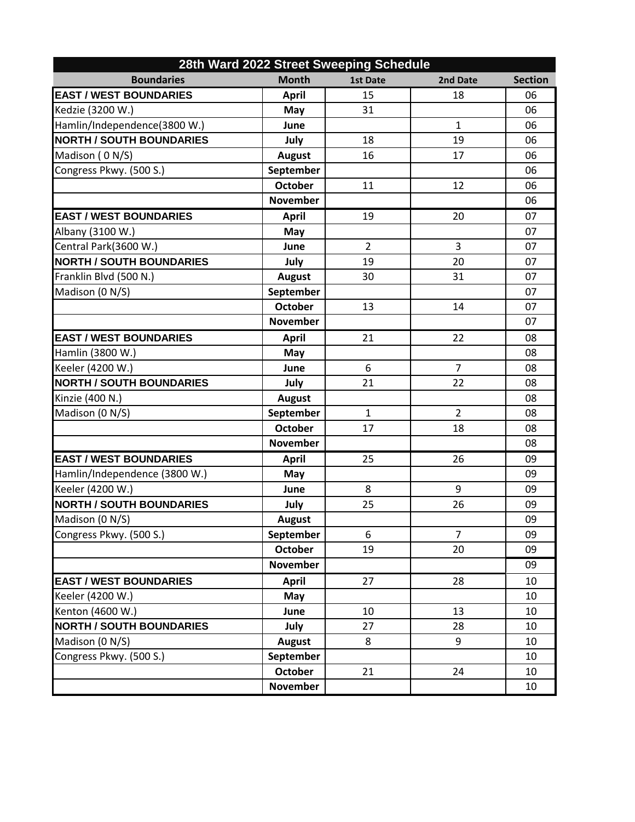| 28th Ward 2022 Street Sweeping Schedule |                 |                 |                |                |  |  |  |
|-----------------------------------------|-----------------|-----------------|----------------|----------------|--|--|--|
| <b>Boundaries</b>                       | <b>Month</b>    | <b>1st Date</b> | 2nd Date       | <b>Section</b> |  |  |  |
| <b>EAST / WEST BOUNDARIES</b>           | <b>April</b>    | 15              | 18             | 06             |  |  |  |
| Kedzie (3200 W.)                        | May             | 31              |                | 06             |  |  |  |
| Hamlin/Independence(3800 W.)            | June            |                 | $\mathbf{1}$   | 06             |  |  |  |
| <b>NORTH / SOUTH BOUNDARIES</b>         | July            | 18              | 19             | 06             |  |  |  |
| Madison (0 N/S)                         | <b>August</b>   | 16              | 17             | 06             |  |  |  |
| Congress Pkwy. (500 S.)                 | September       |                 |                | 06             |  |  |  |
|                                         | <b>October</b>  | 11              | 12             | 06             |  |  |  |
|                                         | <b>November</b> |                 |                | 06             |  |  |  |
| <b>EAST / WEST BOUNDARIES</b>           | <b>April</b>    | 19              | 20             | 07             |  |  |  |
| Albany (3100 W.)                        | May             |                 |                | 07             |  |  |  |
| Central Park(3600 W.)                   | June            | $\overline{2}$  | 3              | 07             |  |  |  |
| <b>NORTH / SOUTH BOUNDARIES</b>         | July            | 19              | 20             | 07             |  |  |  |
| Franklin Blvd (500 N.)                  | <b>August</b>   | 30              | 31             | 07             |  |  |  |
| Madison (0 N/S)                         | September       |                 |                | 07             |  |  |  |
|                                         | <b>October</b>  | 13              | 14             | 07             |  |  |  |
|                                         | <b>November</b> |                 |                | 07             |  |  |  |
| <b>EAST / WEST BOUNDARIES</b>           | <b>April</b>    | 21              | 22             | 08             |  |  |  |
| Hamlin (3800 W.)                        | May             |                 |                | 08             |  |  |  |
| Keeler (4200 W.)                        | June            | 6               | $\overline{7}$ | 08             |  |  |  |
| <b>NORTH / SOUTH BOUNDARIES</b>         | July            | 21              | 22             | 08             |  |  |  |
| Kinzie (400 N.)                         | <b>August</b>   |                 |                | 08             |  |  |  |
| Madison (0 N/S)                         | September       | $\mathbf{1}$    | $\overline{2}$ | 08             |  |  |  |
|                                         | <b>October</b>  | 17              | 18             | 08             |  |  |  |
|                                         | <b>November</b> |                 |                | 08             |  |  |  |
| <b>EAST / WEST BOUNDARIES</b>           | <b>April</b>    | 25              | 26             | 09             |  |  |  |
| Hamlin/Independence (3800 W.)           | May             |                 |                | 09             |  |  |  |
| Keeler (4200 W.)                        | June            | 8               | 9              | 09             |  |  |  |
| <b>NORTH / SOUTH BOUNDARIES</b>         | July            | 25              | 26             | 09             |  |  |  |
| Madison (0 N/S)                         | <b>August</b>   |                 |                | 09             |  |  |  |
| Congress Pkwy. (500 S.)                 | September       | 6               | $\overline{7}$ | 09             |  |  |  |
|                                         | <b>October</b>  | 19              | 20             | 09             |  |  |  |
|                                         | <b>November</b> |                 |                | 09             |  |  |  |
| <b>EAST / WEST BOUNDARIES</b>           | <b>April</b>    | 27              | 28             | 10             |  |  |  |
| Keeler (4200 W.)                        | May             |                 |                | 10             |  |  |  |
| Kenton (4600 W.)                        | June            | 10              | 13             | 10             |  |  |  |
| <b>NORTH / SOUTH BOUNDARIES</b>         | July            | 27              | 28             | 10             |  |  |  |
| Madison (0 N/S)                         | <b>August</b>   | 8               | 9              | 10             |  |  |  |
| Congress Pkwy. (500 S.)                 | September       |                 |                | 10             |  |  |  |
|                                         | <b>October</b>  | 21              | 24             | 10             |  |  |  |
|                                         | <b>November</b> |                 |                | 10             |  |  |  |